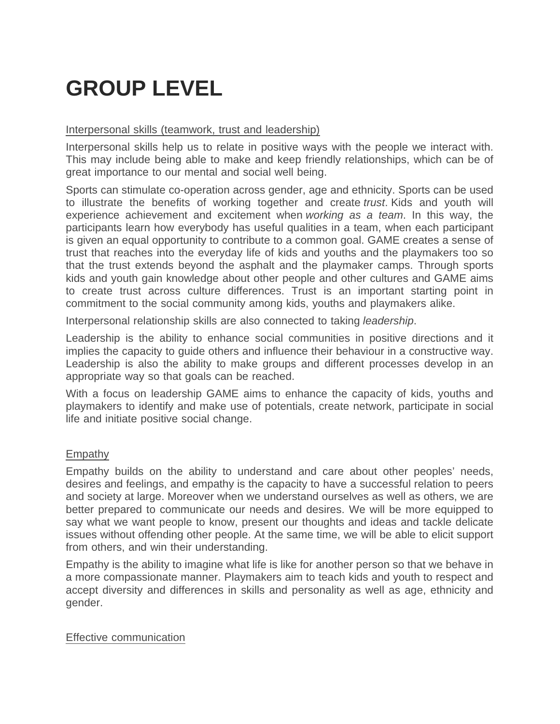# **GROUP LEVEL**

## Interpersonal skills (teamwork, trust and leadership)

Interpersonal skills help us to relate in positive ways with the people we interact with. This may include being able to make and keep friendly relationships, which can be of great importance to our mental and social well being.

Sports can stimulate co-operation across gender, age and ethnicity. Sports can be used to illustrate the benefits of working together and create *trust*. Kids and youth will experience achievement and excitement when *working as a team*. In this way, the participants learn how everybody has useful qualities in a team, when each participant is given an equal opportunity to contribute to a common goal. GAME creates a sense of trust that reaches into the everyday life of kids and youths and the playmakers too so that the trust extends beyond the asphalt and the playmaker camps. Through sports kids and youth gain knowledge about other people and other cultures and GAME aims to create trust across culture differences. Trust is an important starting point in commitment to the social community among kids, youths and playmakers alike.

Interpersonal relationship skills are also connected to taking *leadership*.

Leadership is the ability to enhance social communities in positive directions and it implies the capacity to guide others and influence their behaviour in a constructive way. Leadership is also the ability to make groups and different processes develop in an appropriate way so that goals can be reached.

With a focus on leadership GAME aims to enhance the capacity of kids, youths and playmakers to identify and make use of potentials, create network, participate in social life and initiate positive social change.

## Empathy

Empathy builds on the ability to understand and care about other peoples' needs, desires and feelings, and empathy is the capacity to have a successful relation to peers and society at large. Moreover when we understand ourselves as well as others, we are better prepared to communicate our needs and desires. We will be more equipped to say what we want people to know, present our thoughts and ideas and tackle delicate issues without offending other people. At the same time, we will be able to elicit support from others, and win their understanding.

Empathy is the ability to imagine what life is like for another person so that we behave in a more compassionate manner. Playmakers aim to teach kids and youth to respect and accept diversity and differences in skills and personality as well as age, ethnicity and gender.

### Effective communication